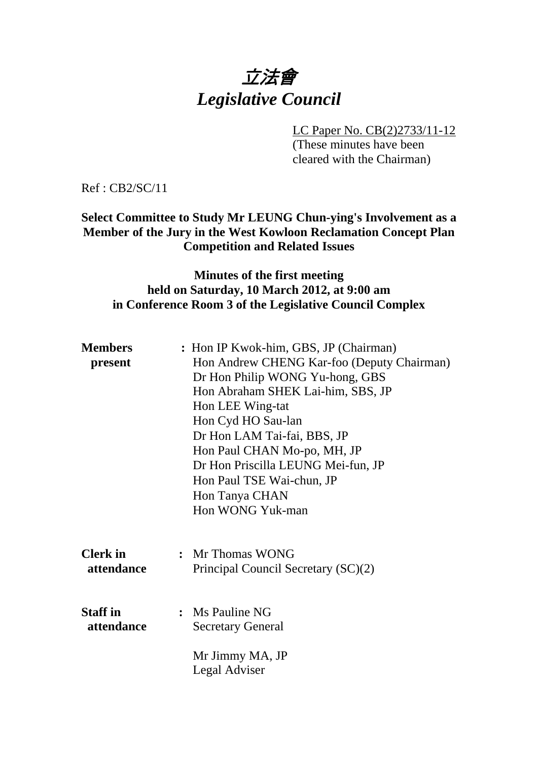# 立法會 *Legislative Council*

LC Paper No. CB(2)2733/11-12

(These minutes have been cleared with the Chairman)

Ref : CB2/SC/11

#### **Select Committee to Study Mr LEUNG Chun-ying's Involvement as a Member of the Jury in the West Kowloon Reclamation Concept Plan Competition and Related Issues**

#### **Minutes of the first meeting held on Saturday, 10 March 2012, at 9:00 am in Conference Room 3 of the Legislative Council Complex**

| <b>Members</b><br>present     | : Hon IP Kwok-him, GBS, JP (Chairman)<br>Hon Andrew CHENG Kar-foo (Deputy Chairman)<br>Dr Hon Philip WONG Yu-hong, GBS<br>Hon Abraham SHEK Lai-him, SBS, JP<br>Hon LEE Wing-tat<br>Hon Cyd HO Sau-lan<br>Dr Hon LAM Tai-fai, BBS, JP<br>Hon Paul CHAN Mo-po, MH, JP<br>Dr Hon Priscilla LEUNG Mei-fun, JP<br>Hon Paul TSE Wai-chun, JP<br>Hon Tanya CHAN<br>Hon WONG Yuk-man |
|-------------------------------|------------------------------------------------------------------------------------------------------------------------------------------------------------------------------------------------------------------------------------------------------------------------------------------------------------------------------------------------------------------------------|
| <b>Clerk</b> in<br>attendance | : Mr Thomas WONG<br>Principal Council Secretary (SC)(2)                                                                                                                                                                                                                                                                                                                      |
| <b>Staff</b> in<br>attendance | : Ms Pauline NG<br><b>Secretary General</b><br>Mr Jimmy MA, JP<br>Legal Adviser                                                                                                                                                                                                                                                                                              |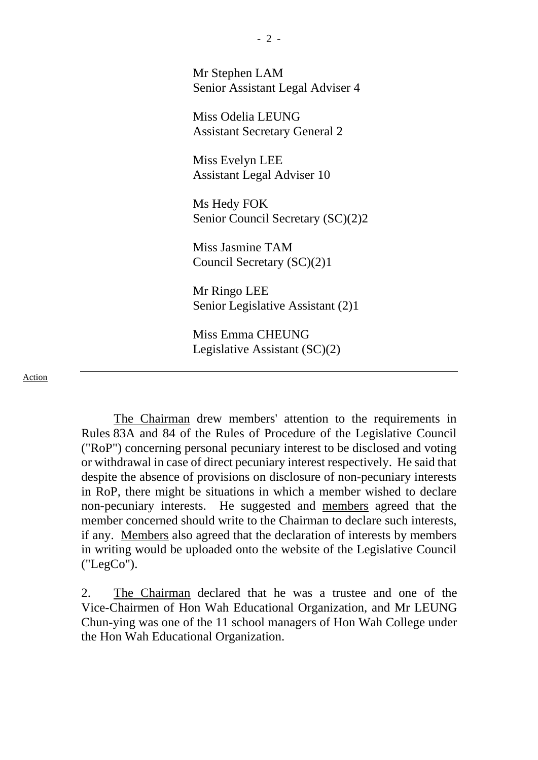Mr Stephen LAM Senior Assistant Legal Adviser 4

Miss Odelia LEUNG Assistant Secretary General 2

Miss Evelyn LEE Assistant Legal Adviser 10

Ms Hedy FOK Senior Council Secretary (SC)(2)2

Miss Jasmine TAM Council Secretary (SC)(2)1

Mr Ringo LEE Senior Legislative Assistant (2)1

Miss Emma CHEUNG Legislative Assistant (SC)(2)

Action

The Chairman drew members' attention to the requirements in Rules 83A and 84 of the Rules of Procedure of the Legislative Council ("RoP") concerning personal pecuniary interest to be disclosed and voting or withdrawal in case of direct pecuniary interest respectively. He said that despite the absence of provisions on disclosure of non-pecuniary interests in RoP, there might be situations in which a member wished to declare non-pecuniary interests. He suggested and members agreed that the member concerned should write to the Chairman to declare such interests, if any. Members also agreed that the declaration of interests by members in writing would be uploaded onto the website of the Legislative Council ("LegCo").

2. The Chairman declared that he was a trustee and one of the Vice-Chairmen of Hon Wah Educational Organization, and Mr LEUNG Chun-ying was one of the 11 school managers of Hon Wah College under the Hon Wah Educational Organization.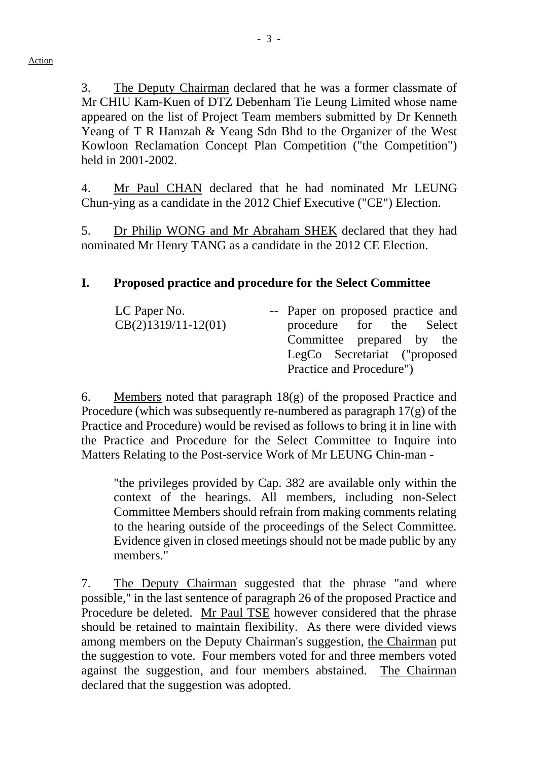3. The Deputy Chairman declared that he was a former classmate of Mr CHIU Kam-Kuen of DTZ Debenham Tie Leung Limited whose name appeared on the list of Project Team members submitted by Dr Kenneth Yeang of T R Hamzah & Yeang Sdn Bhd to the Organizer of the West Kowloon Reclamation Concept Plan Competition ("the Competition") held in 2001-2002.

4. Mr Paul CHAN declared that he had nominated Mr LEUNG Chun-ying as a candidate in the 2012 Chief Executive ("CE") Election.

5. Dr Philip WONG and Mr Abraham SHEK declared that they had nominated Mr Henry TANG as a candidate in the 2012 CE Election.

#### **I. Proposed practice and procedure for the Select Committee**

| LC Paper No.          | -- Paper on proposed practice and |  |  |
|-----------------------|-----------------------------------|--|--|
| $CB(2)1319/11-12(01)$ | procedure for the Select          |  |  |
|                       | Committee prepared by the         |  |  |
|                       | LegCo Secretariat ("proposed      |  |  |
|                       | Practice and Procedure")          |  |  |

6. Members noted that paragraph 18(g) of the proposed Practice and Procedure (which was subsequently re-numbered as paragraph 17(g) of the Practice and Procedure) would be revised as follows to bring it in line with the Practice and Procedure for the Select Committee to Inquire into Matters Relating to the Post-service Work of Mr LEUNG Chin-man -

"the privileges provided by Cap. 382 are available only within the context of the hearings. All members, including non-Select Committee Members should refrain from making comments relating to the hearing outside of the proceedings of the Select Committee. Evidence given in closed meetings should not be made public by any members."

7. The Deputy Chairman suggested that the phrase "and where possible," in the last sentence of paragraph 26 of the proposed Practice and Procedure be deleted. Mr Paul TSE however considered that the phrase should be retained to maintain flexibility. As there were divided views among members on the Deputy Chairman's suggestion, the Chairman put the suggestion to vote. Four members voted for and three members voted against the suggestion, and four members abstained. The Chairman declared that the suggestion was adopted.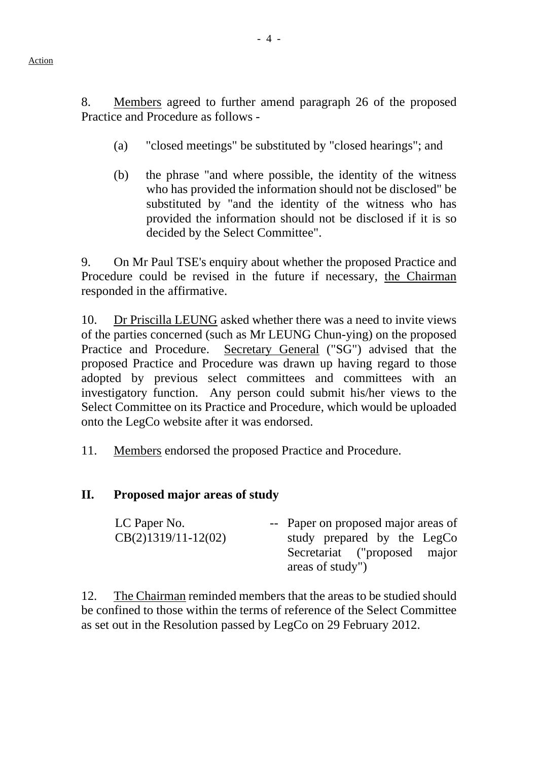8. Members agreed to further amend paragraph 26 of the proposed Practice and Procedure as follows -

- (a) "closed meetings" be substituted by "closed hearings"; and
- (b) the phrase "and where possible, the identity of the witness who has provided the information should not be disclosed" be substituted by "and the identity of the witness who has provided the information should not be disclosed if it is so decided by the Select Committee".

9. On Mr Paul TSE's enquiry about whether the proposed Practice and Procedure could be revised in the future if necessary, the Chairman responded in the affirmative.

10. Dr Priscilla LEUNG asked whether there was a need to invite views of the parties concerned (such as Mr LEUNG Chun-ying) on the proposed Practice and Procedure. Secretary General ("SG") advised that the proposed Practice and Procedure was drawn up having regard to those adopted by previous select committees and committees with an investigatory function. Any person could submit his/her views to the Select Committee on its Practice and Procedure, which would be uploaded onto the LegCo website after it was endorsed.

11. Members endorsed the proposed Practice and Procedure.

#### **II. Proposed major areas of study**

| LC Paper No.          | -- Paper on proposed major areas of |  |  |  |  |
|-----------------------|-------------------------------------|--|--|--|--|
| $CB(2)1319/11-12(02)$ | study prepared by the LegCo         |  |  |  |  |
|                       | Secretariat ("proposed major        |  |  |  |  |
|                       | areas of study")                    |  |  |  |  |

12. The Chairman reminded members that the areas to be studied should be confined to those within the terms of reference of the Select Committee as set out in the Resolution passed by LegCo on 29 February 2012.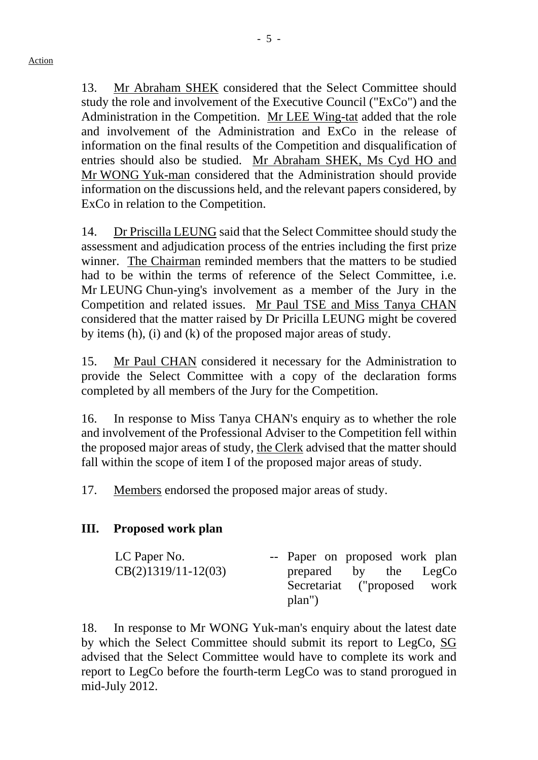13. Mr Abraham SHEK considered that the Select Committee should study the role and involvement of the Executive Council ("ExCo") and the Administration in the Competition. Mr LEE Wing-tat added that the role and involvement of the Administration and ExCo in the release of information on the final results of the Competition and disqualification of entries should also be studied. Mr Abraham SHEK, Ms Cyd HO and Mr WONG Yuk-man considered that the Administration should provide information on the discussions held, and the relevant papers considered, by ExCo in relation to the Competition.

14. Dr Priscilla LEUNG said that the Select Committee should study the assessment and adjudication process of the entries including the first prize winner. The Chairman reminded members that the matters to be studied had to be within the terms of reference of the Select Committee, i.e. Mr LEUNG Chun-ying's involvement as a member of the Jury in the Competition and related issues. Mr Paul TSE and Miss Tanya CHAN considered that the matter raised by Dr Pricilla LEUNG might be covered by items (h), (i) and (k) of the proposed major areas of study.

15. Mr Paul CHAN considered it necessary for the Administration to provide the Select Committee with a copy of the declaration forms completed by all members of the Jury for the Competition.

16. In response to Miss Tanya CHAN's enquiry as to whether the role and involvement of the Professional Adviser to the Competition fell within the proposed major areas of study, the Clerk advised that the matter should fall within the scope of item I of the proposed major areas of study.

17. Members endorsed the proposed major areas of study.

### **III. Proposed work plan**

| LC Paper No.          |        |  | -- Paper on proposed work plan |
|-----------------------|--------|--|--------------------------------|
| $CB(2)1319/11-12(03)$ |        |  | prepared by the LegCo          |
|                       |        |  | Secretariat ("proposed work    |
|                       | plan") |  |                                |

18. In response to Mr WONG Yuk-man's enquiry about the latest date by which the Select Committee should submit its report to LegCo, SG advised that the Select Committee would have to complete its work and report to LegCo before the fourth-term LegCo was to stand prorogued in mid-July 2012.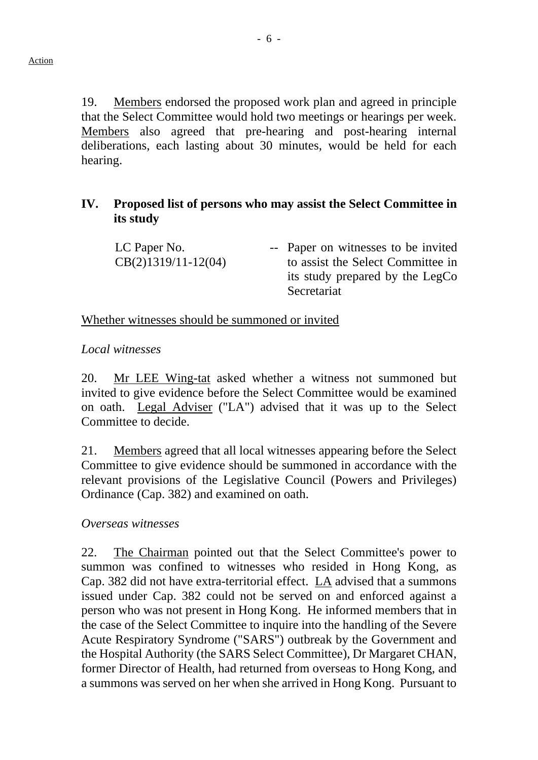19. Members endorsed the proposed work plan and agreed in principle that the Select Committee would hold two meetings or hearings per week. Members also agreed that pre-hearing and post-hearing internal deliberations, each lasting about 30 minutes, would be held for each hearing.

#### **IV. Proposed list of persons who may assist the Select Committee in its study**

LC Paper No. CB(2)1319/11-12(04) -- Paper on witnesses to be invited to assist the Select Committee in its study prepared by the LegCo Secretariat

#### Whether witnesses should be summoned or invited

#### *Local witnesses*

20. Mr LEE Wing-tat asked whether a witness not summoned but invited to give evidence before the Select Committee would be examined on oath. Legal Adviser ("LA") advised that it was up to the Select Committee to decide.

21. Members agreed that all local witnesses appearing before the Select Committee to give evidence should be summoned in accordance with the relevant provisions of the Legislative Council (Powers and Privileges) Ordinance (Cap. 382) and examined on oath.

#### *Overseas witnesses*

22. The Chairman pointed out that the Select Committee's power to summon was confined to witnesses who resided in Hong Kong, as Cap. 382 did not have extra-territorial effect. LA advised that a summons issued under Cap. 382 could not be served on and enforced against a person who was not present in Hong Kong. He informed members that in the case of the Select Committee to inquire into the handling of the Severe Acute Respiratory Syndrome ("SARS") outbreak by the Government and the Hospital Authority (the SARS Select Committee), Dr Margaret CHAN, former Director of Health, had returned from overseas to Hong Kong, and a summons was served on her when she arrived in Hong Kong. Pursuant to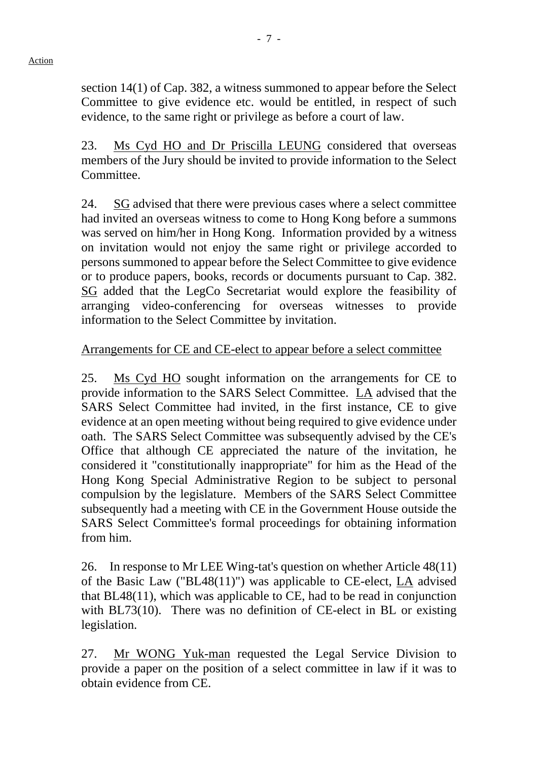section 14(1) of Cap. 382, a witness summoned to appear before the Select Committee to give evidence etc. would be entitled, in respect of such evidence, to the same right or privilege as before a court of law.

23. Ms Cyd HO and Dr Priscilla LEUNG considered that overseas members of the Jury should be invited to provide information to the Select Committee.

24. SG advised that there were previous cases where a select committee had invited an overseas witness to come to Hong Kong before a summons was served on him/her in Hong Kong. Information provided by a witness on invitation would not enjoy the same right or privilege accorded to persons summoned to appear before the Select Committee to give evidence or to produce papers, books, records or documents pursuant to Cap. 382. SG added that the LegCo Secretariat would explore the feasibility of arranging video-conferencing for overseas witnesses to provide information to the Select Committee by invitation.

#### Arrangements for CE and CE-elect to appear before a select committee

25. Ms Cyd HO sought information on the arrangements for CE to provide information to the SARS Select Committee. LA advised that the SARS Select Committee had invited, in the first instance, CE to give evidence at an open meeting without being required to give evidence under oath. The SARS Select Committee was subsequently advised by the CE's Office that although CE appreciated the nature of the invitation, he considered it "constitutionally inappropriate" for him as the Head of the Hong Kong Special Administrative Region to be subject to personal compulsion by the legislature. Members of the SARS Select Committee subsequently had a meeting with CE in the Government House outside the SARS Select Committee's formal proceedings for obtaining information from him.

26. In response to Mr LEE Wing-tat's question on whether Article 48(11) of the Basic Law ("BL48(11)") was applicable to CE-elect, LA advised that BL48(11), which was applicable to CE, had to be read in conjunction with BL73(10). There was no definition of CE-elect in BL or existing legislation.

27. Mr WONG Yuk-man requested the Legal Service Division to provide a paper on the position of a select committee in law if it was to obtain evidence from CE.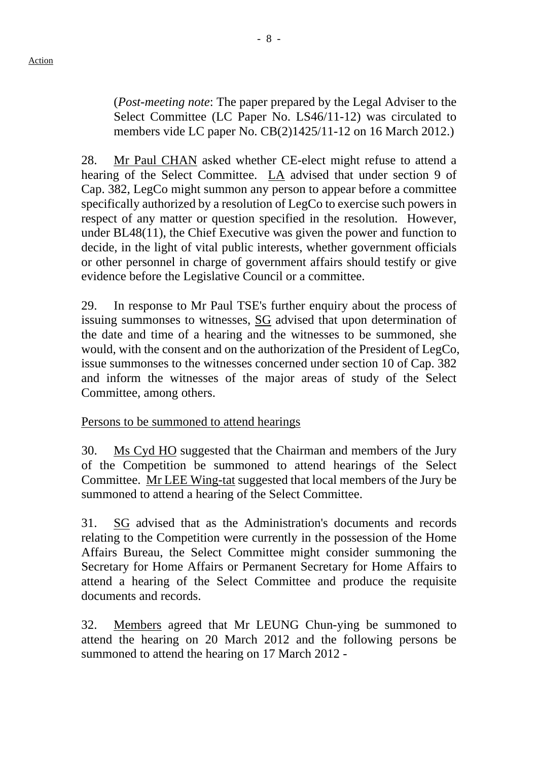(*Post-meeting note*: The paper prepared by the Legal Adviser to the Select Committee (LC Paper No. LS46/11-12) was circulated to members vide LC paper No. CB(2)1425/11-12 on 16 March 2012.)

28. Mr Paul CHAN asked whether CE-elect might refuse to attend a hearing of the Select Committee. LA advised that under section 9 of Cap. 382, LegCo might summon any person to appear before a committee specifically authorized by a resolution of LegCo to exercise such powers in respect of any matter or question specified in the resolution. However, under BL48(11), the Chief Executive was given the power and function to decide, in the light of vital public interests, whether government officials or other personnel in charge of government affairs should testify or give evidence before the Legislative Council or a committee.

29. In response to Mr Paul TSE's further enquiry about the process of issuing summonses to witnesses, SG advised that upon determination of the date and time of a hearing and the witnesses to be summoned, she would, with the consent and on the authorization of the President of LegCo, issue summonses to the witnesses concerned under section 10 of Cap. 382 and inform the witnesses of the major areas of study of the Select Committee, among others.

#### Persons to be summoned to attend hearings

30. Ms Cyd HO suggested that the Chairman and members of the Jury of the Competition be summoned to attend hearings of the Select Committee. Mr LEE Wing-tat suggested that local members of the Jury be summoned to attend a hearing of the Select Committee.

31. SG advised that as the Administration's documents and records relating to the Competition were currently in the possession of the Home Affairs Bureau, the Select Committee might consider summoning the Secretary for Home Affairs or Permanent Secretary for Home Affairs to attend a hearing of the Select Committee and produce the requisite documents and records.

32. Members agreed that Mr LEUNG Chun-ying be summoned to attend the hearing on 20 March 2012 and the following persons be summoned to attend the hearing on 17 March 2012 -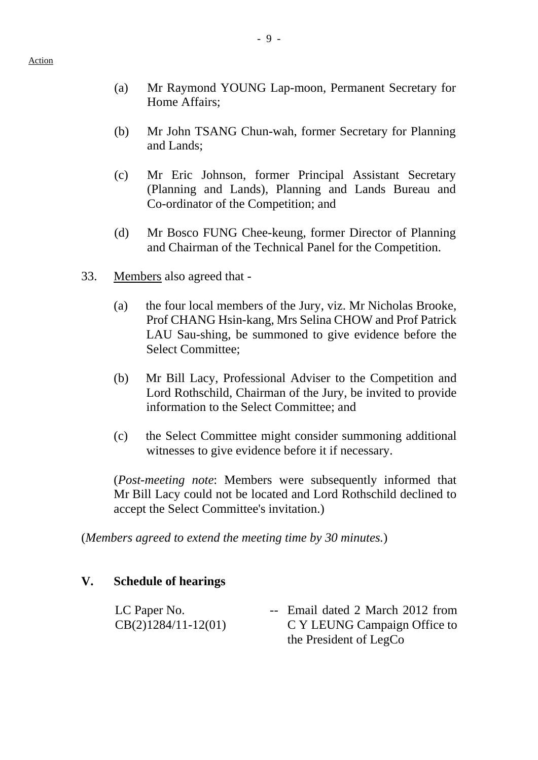- (a) Mr Raymond YOUNG Lap-moon, Permanent Secretary for Home Affairs;
- (b) Mr John TSANG Chun-wah, former Secretary for Planning and Lands;
- (c) Mr Eric Johnson, former Principal Assistant Secretary (Planning and Lands), Planning and Lands Bureau and Co-ordinator of the Competition; and
- (d) Mr Bosco FUNG Chee-keung, former Director of Planning and Chairman of the Technical Panel for the Competition.
- 33. Members also agreed that
	- (a) the four local members of the Jury, viz. Mr Nicholas Brooke, Prof CHANG Hsin-kang, Mrs Selina CHOW and Prof Patrick LAU Sau-shing, be summoned to give evidence before the Select Committee;
	- (b) Mr Bill Lacy, Professional Adviser to the Competition and Lord Rothschild, Chairman of the Jury, be invited to provide information to the Select Committee; and
	- (c) the Select Committee might consider summoning additional witnesses to give evidence before it if necessary.

(*Post-meeting note*: Members were subsequently informed that Mr Bill Lacy could not be located and Lord Rothschild declined to accept the Select Committee's invitation.)

(*Members agreed to extend the meeting time by 30 minutes.*)

#### **V. Schedule of hearings**

| LC Paper No.          | -- Email dated 2 March 2012 from |
|-----------------------|----------------------------------|
| $CB(2)1284/11-12(01)$ | C Y LEUNG Campaign Office to     |
|                       | the President of LegCo           |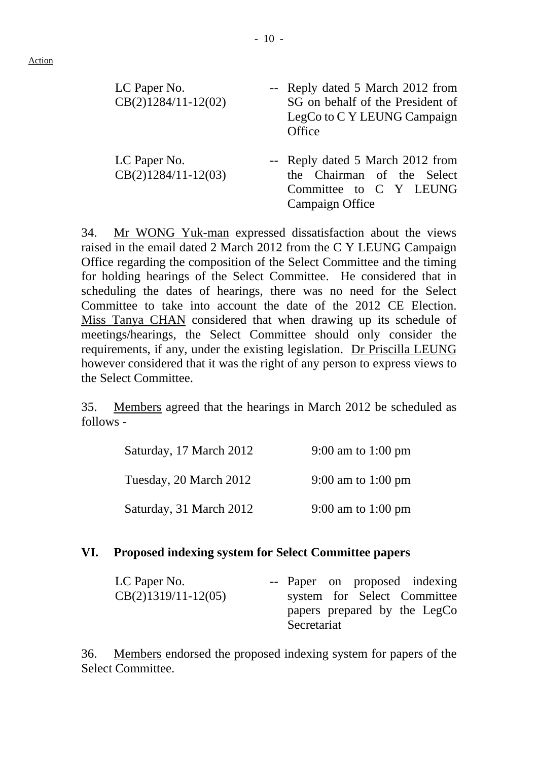Action

| LC Paper No.<br>$CB(2)1284/11-12(02)$ | -- Reply dated 5 March 2012 from<br>SG on behalf of the President of<br>LegCo to C Y LEUNG Campaign<br>Office |
|---------------------------------------|---------------------------------------------------------------------------------------------------------------|
| LC Paper No.<br>$CB(2)1284/11-12(03)$ | -- Reply dated 5 March 2012 from<br>the Chairman of the Select<br>Committee to C Y LEUNG<br>Campaign Office   |

34. Mr WONG Yuk-man expressed dissatisfaction about the views raised in the email dated 2 March 2012 from the C Y LEUNG Campaign Office regarding the composition of the Select Committee and the timing for holding hearings of the Select Committee. He considered that in scheduling the dates of hearings, there was no need for the Select Committee to take into account the date of the 2012 CE Election. Miss Tanya CHAN considered that when drawing up its schedule of meetings/hearings, the Select Committee should only consider the requirements, if any, under the existing legislation. Dr Priscilla LEUNG however considered that it was the right of any person to express views to the Select Committee.

35. Members agreed that the hearings in March 2012 be scheduled as follows -

| Saturday, 17 March 2012 | 9:00 am to 1:00 pm |
|-------------------------|--------------------|
| Tuesday, 20 March 2012  | 9:00 am to 1:00 pm |
| Saturday, 31 March 2012 | 9:00 am to 1:00 pm |

#### **VI. Proposed indexing system for Select Committee papers**

| LC Paper No.          |             |  | -- Paper on proposed indexing |
|-----------------------|-------------|--|-------------------------------|
| $CB(2)1319/11-12(05)$ |             |  | system for Select Committee   |
|                       | Secretariat |  | papers prepared by the LegCo  |

36. Members endorsed the proposed indexing system for papers of the Select Committee.